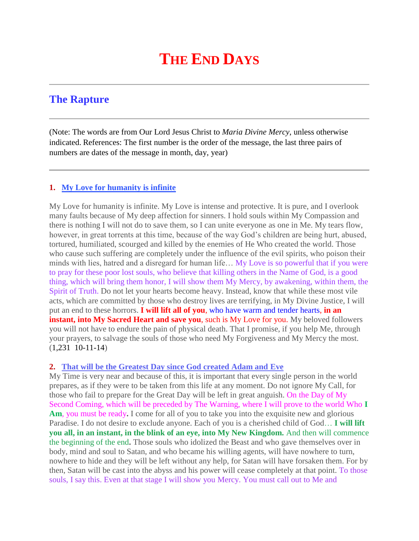## **THE END DAYS**

## **The Rapture**

(Note: The words are from Our Lord Jesus Christ to *Maria Divine Mercy*, unless otherwise indicated. References: The first number is the order of the message, the last three pairs of numbers are dates of the message in month, day, year)

## **1. [My Love for humanity is infinite](http://www.thewarningsecondcoming.com/my-love-for-humanity-is-infinite/)**

My Love for humanity is infinite. My Love is intense and protective. It is pure, and I overlook many faults because of My deep affection for sinners. I hold souls within My Compassion and there is nothing I will not do to save them, so I can unite everyone as one in Me. My tears flow, however, in great torrents at this time, because of the way God's children are being hurt, abused, tortured, humiliated, scourged and killed by the enemies of He Who created the world. Those who cause such suffering are completely under the influence of the evil spirits, who poison their minds with lies, hatred and a disregard for human life... My Love is so powerful that if you were to pray for these poor lost souls, who believe that killing others in the Name of God, is a good thing, which will bring them honor, I will show them My Mercy, by awakening, within them, the Spirit of Truth. Do not let your hearts become heavy. Instead, know that while these most vile acts, which are committed by those who destroy lives are terrifying, in My Divine Justice, I will put an end to these horrors. **I will lift all of you**, who have warm and tender hearts, **in an instant, into My Sacred Heart and save you**, such is My Love for you. My beloved followers you will not have to endure the pain of physical death. That I promise, if you help Me, through your prayers, to salvage the souls of those who need My Forgiveness and My Mercy the most. (1,231 10-11-14)

## **2. [That will be the Greatest Day since God created Adam and](http://www.thewarningsecondcoming.com/that-will-be-the-greatest-day-since-god-created-adam-and-eve/) Eve**

My Time is very near and because of this, it is important that every single person in the world prepares, as if they were to be taken from this life at any moment. Do not ignore My Call, for those who fail to prepare for the Great Day will be left in great anguish. On the Day of My Second Coming, which will be preceded by The Warning, where I will prove to the world Who **I Am**, you must be ready**.** I come for all of you to take you into the exquisite new and glorious Paradise. I do not desire to exclude anyone. Each of you is a cherished child of God… **I will lift you all, in an instant, in the blink of an eye, into My New Kingdom.** And then will commence the beginning of the end**.** Those souls who idolized the Beast and who gave themselves over in body, mind and soul to Satan, and who became his willing agents, will have nowhere to turn, nowhere to hide and they will be left without any help, for Satan will have forsaken them. For by then, Satan will be cast into the abyss and his power will cease completely at that point. To those souls, I say this. Even at that stage I will show you Mercy. You must call out to Me and